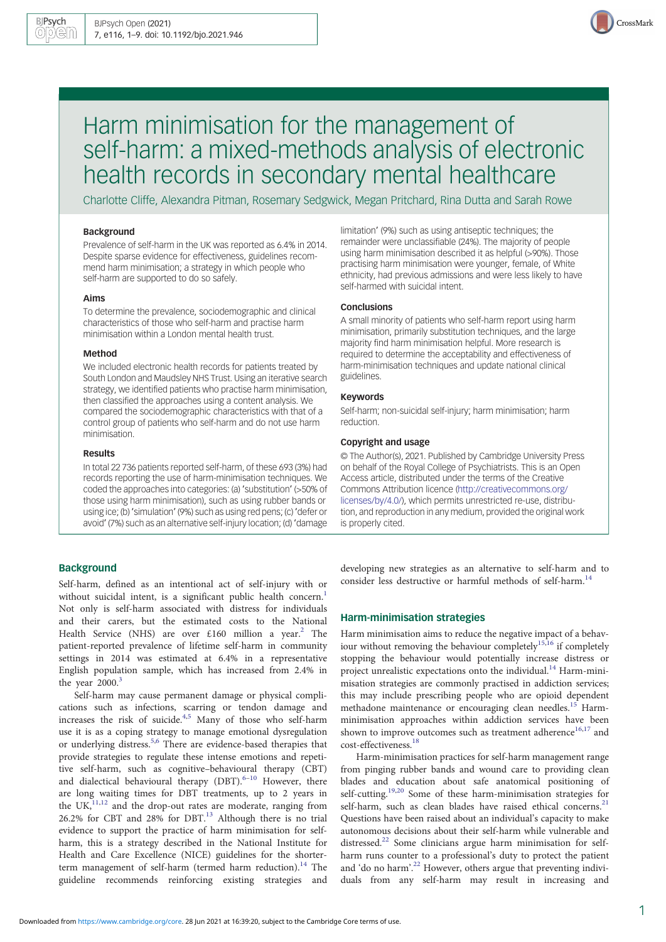

# Harm minimisation for the management of self-harm: a mixed-methods analysis of electronic health records in secondary mental healthcare

Charlotte Cliffe, Alexandra Pitman, Rosemary Sedgwick, Megan Pritchard, Rina Dutta and Sarah Rowe

## Background

Prevalence of self-harm in the UK was reported as 6.4% in 2014. Despite sparse evidence for effectiveness, guidelines recommend harm minimisation; a strategy in which people who self-harm are supported to do so safely.

## Aims

To determine the prevalence, sociodemographic and clinical characteristics of those who self-harm and practise harm minimisation within a London mental health trust.

#### Method

We included electronic health records for patients treated by South London and Maudsley NHS Trust. Using an iterative search strategy, we identified patients who practise harm minimisation, then classified the approaches using a content analysis. We compared the sociodemographic characteristics with that of a control group of patients who self-harm and do not use harm minimisation.

#### Results

In total 22 736 patients reported self-harm, of these 693 (3%) had records reporting the use of harm-minimisation techniques. We coded the approaches into categories: (a) 'substitution' (>50% of those using harm minimisation), such as using rubber bands or using ice; (b) 'simulation' (9%) such as using red pens; (c) 'defer or avoid' (7%) such as an alternative self-injury location; (d) 'damage

# **Background**

Self-harm, defined as an intentional act of self-injury with or without suicidal intent, is a significant public health concern.<sup>[1](#page-7-0)</sup> Not only is self-harm associated with distress for individuals and their carers, but the estimated costs to the National Health Service (NHS) are over  $£160$  million a year.<sup>[2](#page-7-0)</sup> The patient-reported prevalence of lifetime self-harm in community settings in 2014 was estimated at 6.4% in a representative English population sample, which has increased from 2.4% in the year  $2000$ .<sup>[3](#page-7-0)</sup>

Self-harm may cause permanent damage or physical complications such as infections, scarring or tendon damage and increases the risk of suicide.<sup>[4](#page-7-0),[5](#page-7-0)</sup> Many of those who self-harm use it is as a coping strategy to manage emotional dysregulation or underlying distress.<sup>[5,6](#page-7-0)</sup> There are evidence-based therapies that provide strategies to regulate these intense emotions and repetitive self-harm, such as cognitive–behavioural therapy (CBT) and dialectical behavioural therapy  $(DBT)$ .<sup>[6](#page-7-0)–[10](#page-7-0)</sup> However, there are long waiting times for DBT treatments, up to 2 years in the  $UK<sub>11,12</sub><sup>11,12</sup>$  $UK<sub>11,12</sub><sup>11,12</sup>$  $UK<sub>11,12</sub><sup>11,12</sup>$  and the drop-out rates are moderate, ranging from 26.2% for CBT and 28% for DBT. $^{13}$  $^{13}$  $^{13}$  Although there is no trial evidence to support the practice of harm minimisation for selfharm, this is a strategy described in the National Institute for Health and Care Excellence (NICE) guidelines for the shorter-term management of self-harm (termed harm reduction).<sup>[14](#page-7-0)</sup> The guideline recommends reinforcing existing strategies and

limitation' (9%) such as using antiseptic techniques; the remainder were unclassifiable (24%). The majority of people using harm minimisation described it as helpful (>90%). Those practising harm minimisation were younger, female, of White ethnicity, had previous admissions and were less likely to have self-harmed with suicidal intent.

# **Conclusions**

A small minority of patients who self-harm report using harm minimisation, primarily substitution techniques, and the large majority find harm minimisation helpful. More research is required to determine the acceptability and effectiveness of harm-minimisation techniques and update national clinical guidelines.

# Keywords

Self-harm; non-suicidal self-injury; harm minimisation; harm reduction.

## Copyright and usage

© The Author(s), 2021. Published by Cambridge University Press on behalf of the Royal College of Psychiatrists. This is an Open Access article, distributed under the terms of the Creative Commons Attribution licence [\(http://creativecommons.org/](http://creativecommons.org/licenses/by/4.0/) [licenses/by/4.0/](http://creativecommons.org/licenses/by/4.0/)), which permits unrestricted re-use, distribution, and reproduction in any medium, provided the original work is properly cited.

developing new strategies as an alternative to self-harm and to consider less destructive or harmful methods of self-harm.<sup>[14](#page-7-0)</sup>

# Harm-minimisation strategies

Harm minimisation aims to reduce the negative impact of a behav-iour without removing the behaviour completely<sup>[15](#page-7-0),[16](#page-7-0)</sup> if completely stopping the behaviour would potentially increase distress or project unrealistic expectations onto the individual.<sup>[14](#page-7-0)</sup> Harm-minimisation strategies are commonly practised in addiction services; this may include prescribing people who are opioid dependent methadone maintenance or encouraging clean needles.<sup>[15](#page-7-0)</sup> Harmminimisation approaches within addiction services have been shown to improve outcomes such as treatment adherence<sup>[16](#page-7-0),[17](#page-7-0)</sup> and cost-effectiveness.[18](#page-7-0)

Harm-minimisation practices for self-harm management range from pinging rubber bands and wound care to providing clean blades and education about safe anatomical positioning of self-cutting.<sup>[19](#page-7-0),[20](#page-7-0)</sup> Some of these harm-minimisation strategies for self-harm, such as clean blades have raised ethical concerns. $21$ Questions have been raised about an individual's capacity to make autonomous decisions about their self-harm while vulnerable and distressed.<sup>[22](#page-7-0)</sup> Some clinicians argue harm minimisation for selfharm runs counter to a professional's duty to protect the patient and 'do no harm'. [22](#page-7-0) However, others argue that preventing individuals from any self-harm may result in increasing and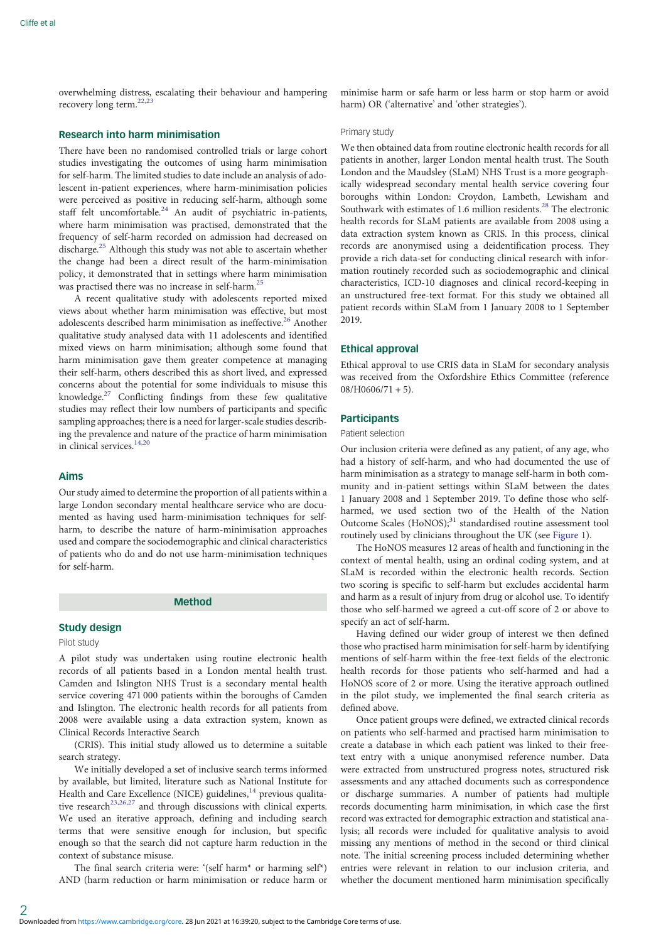overwhelming distress, escalating their behaviour and hampering recovery long term.<sup>[22](#page-7-0),[23](#page-7-0)</sup>

# Research into harm minimisation

There have been no randomised controlled trials or large cohort studies investigating the outcomes of using harm minimisation for self-harm. The limited studies to date include an analysis of adolescent in-patient experiences, where harm-minimisation policies were perceived as positive in reducing self-harm, although some staff felt uncomfortable.<sup>[24](#page-7-0)</sup> An audit of psychiatric in-patients, where harm minimisation was practised, demonstrated that the frequency of self-harm recorded on admission had decreased on discharge.[25](#page-7-0) Although this study was not able to ascertain whether the change had been a direct result of the harm-minimisation policy, it demonstrated that in settings where harm minimisation was practised there was no increase in self-harm.<sup>[25](#page-7-0)</sup>

A recent qualitative study with adolescents reported mixed views about whether harm minimisation was effective, but most adolescents described harm minimisation as ineffective.<sup>[26](#page-7-0)</sup> Another qualitative study analysed data with 11 adolescents and identified mixed views on harm minimisation; although some found that harm minimisation gave them greater competence at managing their self-harm, others described this as short lived, and expressed concerns about the potential for some individuals to misuse this knowledge.[27](#page-7-0) Conflicting findings from these few qualitative studies may reflect their low numbers of participants and specific sampling approaches; there is a need for larger-scale studies describing the prevalence and nature of the practice of harm minimisation in clinical services.<sup>[14](#page-7-0),[20](#page-7-0)</sup>

#### Aims

Our study aimed to determine the proportion of all patients within a large London secondary mental healthcare service who are documented as having used harm-minimisation techniques for selfharm, to describe the nature of harm-minimisation approaches used and compare the sociodemographic and clinical characteristics of patients who do and do not use harm-minimisation techniques for self-harm.

#### Method

### Study design

# Pilot study

A pilot study was undertaken using routine electronic health records of all patients based in a London mental health trust. Camden and Islington NHS Trust is a secondary mental health service covering 471 000 patients within the boroughs of Camden and Islington. The electronic health records for all patients from 2008 were available using a data extraction system, known as Clinical Records Interactive Search

(CRIS). This initial study allowed us to determine a suitable search strategy.

We initially developed a set of inclusive search terms informed by available, but limited, literature such as National Institute for Health and Care Excellence (NICE) guidelines, $^{14}$  $^{14}$  $^{14}$  previous qualita-tive research<sup>[23,26,27](#page-7-0)</sup> and through discussions with clinical experts. We used an iterative approach, defining and including search terms that were sensitive enough for inclusion, but specific enough so that the search did not capture harm reduction in the context of substance misuse.

The final search criteria were: '(self harm\* or harming self\*) AND (harm reduction or harm minimisation or reduce harm or minimise harm or safe harm or less harm or stop harm or avoid harm) OR ('alternative' and 'other strategies').

#### Primary study

We then obtained data from routine electronic health records for all patients in another, larger London mental health trust. The South London and the Maudsley (SLaM) NHS Trust is a more geographically widespread secondary mental health service covering four boroughs within London: Croydon, Lambeth, Lewisham and Southwark with estimates of 1.6 million residents.<sup>[28](#page-7-0)</sup> The electronic health records for SLaM patients are available from 2008 using a data extraction system known as CRIS. In this process, clinical records are anonymised using a deidentification process. They provide a rich data-set for conducting clinical research with information routinely recorded such as sociodemographic and clinical characteristics, ICD-10 diagnoses and clinical record-keeping in an unstructured free-text format. For this study we obtained all patient records within SLaM from 1 January 2008 to 1 September 2019.

# Ethical approval

Ethical approval to use CRIS data in SLaM for secondary analysis was received from the Oxfordshire Ethics Committee (reference  $08/H0606/71 + 5$ ).

# **Participants**

# Patient selection

Our inclusion criteria were defined as any patient, of any age, who had a history of self-harm, and who had documented the use of harm minimisation as a strategy to manage self-harm in both community and in-patient settings within SLaM between the dates 1 January 2008 and 1 September 2019. To define those who selfharmed, we used section two of the Health of the Nation Outcome Scales (HoNOS);<sup>31</sup> standardised routine assessment tool routinely used by clinicians throughout the UK (see [Figure 1\)](#page-2-0).

The HoNOS measures 12 areas of health and functioning in the context of mental health, using an ordinal coding system, and at SLaM is recorded within the electronic health records. Section two scoring is specific to self-harm but excludes accidental harm and harm as a result of injury from drug or alcohol use. To identify those who self-harmed we agreed a cut-off score of 2 or above to specify an act of self-harm.

Having defined our wider group of interest we then defined those who practised harm minimisation for self-harm by identifying mentions of self-harm within the free-text fields of the electronic health records for those patients who self-harmed and had a HoNOS score of 2 or more. Using the iterative approach outlined in the pilot study, we implemented the final search criteria as defined above.

Once patient groups were defined, we extracted clinical records on patients who self-harmed and practised harm minimisation to create a database in which each patient was linked to their freetext entry with a unique anonymised reference number. Data were extracted from unstructured progress notes, structured risk assessments and any attached documents such as correspondence or discharge summaries. A number of patients had multiple records documenting harm minimisation, in which case the first record was extracted for demographic extraction and statistical analysis; all records were included for qualitative analysis to avoid missing any mentions of method in the second or third clinical note. The initial screening process included determining whether entries were relevant in relation to our inclusion criteria, and whether the document mentioned harm minimisation specifically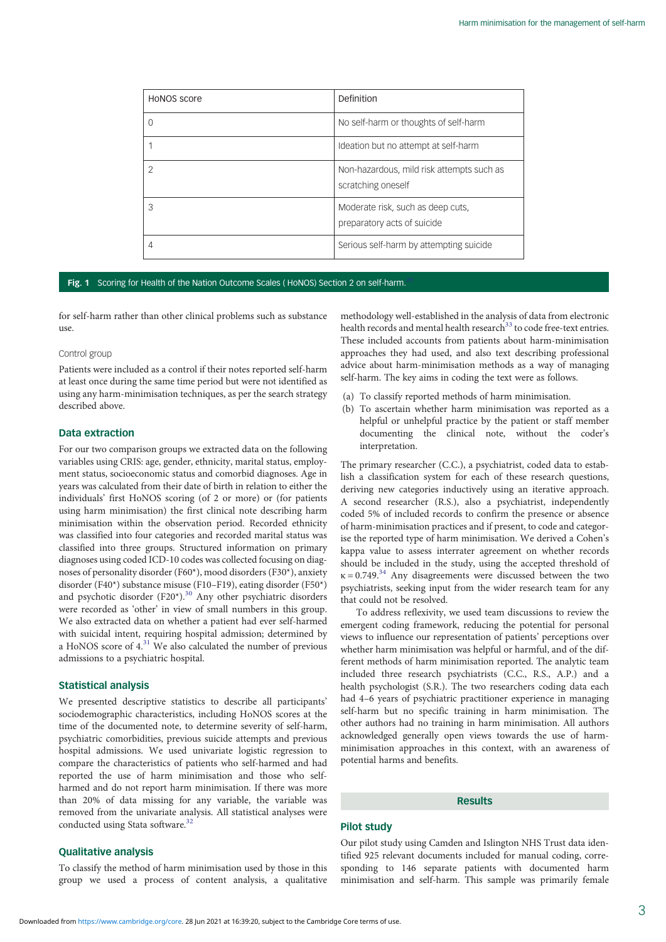<span id="page-2-0"></span>

| HONOS score | Definition                                                       |
|-------------|------------------------------------------------------------------|
|             | No self-harm or thoughts of self-harm                            |
|             | Ideation but no attempt at self-harm                             |
| 2           | Non-hazardous, mild risk attempts such as<br>scratching oneself  |
| З           | Moderate risk, such as deep cuts,<br>preparatory acts of suicide |
|             | Serious self-harm by attempting suicide                          |

#### Fig. 1 Scoring for Health of the Nation Outcome Scales ( HoNOS) Section 2 on self-harm

for self-harm rather than other clinical problems such as substance  $11$ Se.

## Control group

Patients were included as a control if their notes reported self-harm at least once during the same time period but were not identified as using any harm-minimisation techniques, as per the search strategy described above.

# Data extraction

For our two comparison groups we extracted data on the following variables using CRIS: age, gender, ethnicity, marital status, employment status, socioeconomic status and comorbid diagnoses. Age in years was calculated from their date of birth in relation to either the individuals' first HoNOS scoring (of 2 or more) or (for patients using harm minimisation) the first clinical note describing harm minimisation within the observation period. Recorded ethnicity was classified into four categories and recorded marital status was classified into three groups. Structured information on primary diagnoses using coded ICD-10 codes was collected focusing on diagnoses of personality disorder (F60\*), mood disorders (F30\*), anxiety disorder (F40\*) substance misuse (F10–F19), eating disorder (F50\*) and psychotic disorder (F20\*).<sup>[30](#page-7-0)</sup> Any other psychiatric disorders were recorded as 'other' in view of small numbers in this group. We also extracted data on whether a patient had ever self-harmed with suicidal intent, requiring hospital admission; determined by a HoNOS score of  $4.31$  $4.31$  We also calculated the number of previous admissions to a psychiatric hospital.

## Statistical analysis

We presented descriptive statistics to describe all participants' sociodemographic characteristics, including HoNOS scores at the time of the documented note, to determine severity of self-harm, psychiatric comorbidities, previous suicide attempts and previous hospital admissions. We used univariate logistic regression to compare the characteristics of patients who self-harmed and had reported the use of harm minimisation and those who selfharmed and do not report harm minimisation. If there was more than 20% of data missing for any variable, the variable was removed from the univariate analysis. All statistical analyses were conducted using Stata software.<sup>[32](#page-7-0)</sup>

# methodology well-established in the analysis of data from electronic health records and mental health research<sup>[33](#page-7-0)</sup> to code free-text entries. These included accounts from patients about harm-minimisation approaches they had used, and also text describing professional advice about harm-minimisation methods as a way of managing self-harm. The key aims in coding the text were as follows.

- (a) To classify reported methods of harm minimisation.
- (b) To ascertain whether harm minimisation was reported as a helpful or unhelpful practice by the patient or staff member documenting the clinical note, without the coder's interpretation.

The primary researcher (C.C.), a psychiatrist, coded data to establish a classification system for each of these research questions, deriving new categories inductively using an iterative approach. A second researcher (R.S.), also a psychiatrist, independently coded 5% of included records to confirm the presence or absence of harm-minimisation practices and if present, to code and categorise the reported type of harm minimisation. We derived a Cohen's kappa value to assess interrater agreement on whether records should be included in the study, using the accepted threshold of  $\kappa$  = 0.749.<sup>[34](#page-7-0)</sup> Any disagreements were discussed between the two psychiatrists, seeking input from the wider research team for any that could not be resolved.

To address reflexivity, we used team discussions to review the emergent coding framework, reducing the potential for personal views to influence our representation of patients' perceptions over whether harm minimisation was helpful or harmful, and of the different methods of harm minimisation reported. The analytic team included three research psychiatrists (C.C., R.S., A.P.) and a health psychologist (S.R.). The two researchers coding data each had 4–6 years of psychiatric practitioner experience in managing self-harm but no specific training in harm minimisation. The other authors had no training in harm minimisation. All authors acknowledged generally open views towards the use of harmminimisation approaches in this context, with an awareness of potential harms and benefits.

# Results

# Pilot study

Qualitative analysis To classify the method of harm minimisation used by those in this group we used a process of content analysis, a qualitative

Our pilot study using Camden and Islington NHS Trust data identified 925 relevant documents included for manual coding, corresponding to 146 separate patients with documented harm minimisation and self-harm. This sample was primarily female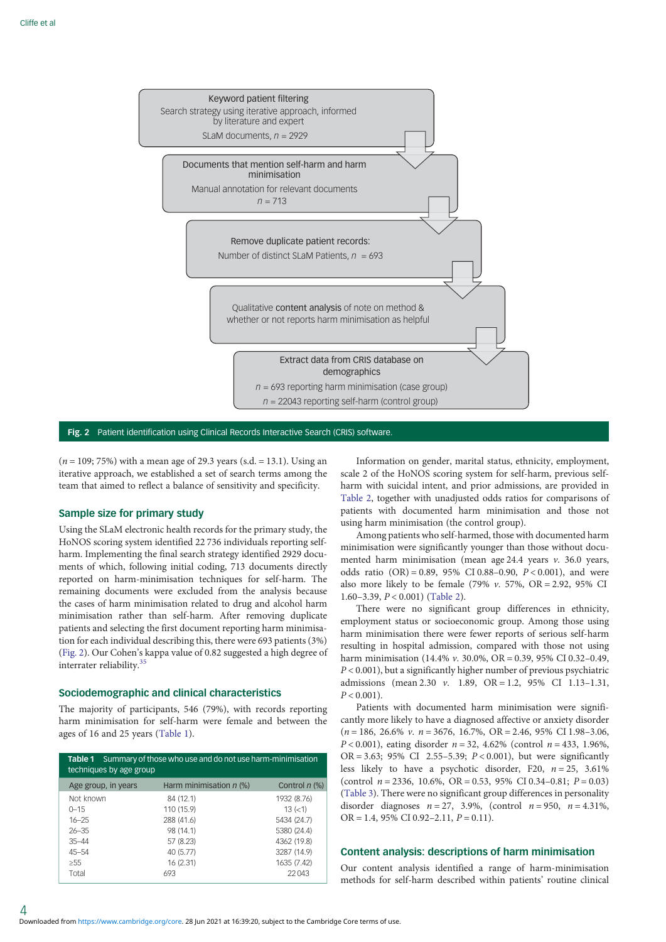

Fig. 2 Patient identification using Clinical Records Interactive Search (CRIS) software.

 $(n = 109; 75%)$  with a mean age of 29.3 years (s.d. = 13.1). Using an iterative approach, we established a set of search terms among the team that aimed to reflect a balance of sensitivity and specificity.

# Sample size for primary study

Using the SLaM electronic health records for the primary study, the HoNOS scoring system identified 22 736 individuals reporting selfharm. Implementing the final search strategy identified 2929 documents of which, following initial coding, 713 documents directly reported on harm-minimisation techniques for self-harm. The remaining documents were excluded from the analysis because the cases of harm minimisation related to drug and alcohol harm minimisation rather than self-harm. After removing duplicate patients and selecting the first document reporting harm minimisation for each individual describing this, there were 693 patients (3%) (Fig. 2). Our Cohen's kappa value of 0.82 suggested a high degree of interrater reliability.[35](#page-7-0)

# Sociodemographic and clinical characteristics

The majority of participants, 546 (79%), with records reporting harm minimisation for self-harm were female and between the ages of 16 and 25 years (Table 1).

| Summary of those who use and do not use harm-minimisation<br>Table 1<br>techniques by age group |                           |                 |  |  |
|-------------------------------------------------------------------------------------------------|---------------------------|-----------------|--|--|
| Age group, in years                                                                             | Harm minimisation $n$ (%) | Control $n$ (%) |  |  |
| Not known                                                                                       | 84 (12.1)                 | 1932 (8.76)     |  |  |
| $0 - 15$                                                                                        | 110 (15.9)                | 13 (< 1)        |  |  |
| $16 - 25$                                                                                       | 288 (41.6)                | 5434 (24.7)     |  |  |
| $26 - 35$                                                                                       | 98 (14.1)                 | 5380 (24.4)     |  |  |
| $35 - 44$                                                                                       | 57 (8.23)                 | 4362 (19.8)     |  |  |
| $45 - 54$                                                                                       | 40 (5.77)                 | 3287 (14.9)     |  |  |
| >55                                                                                             | 16 (2.31)                 | 1635 (7.42)     |  |  |
| Total                                                                                           | 693                       | 22043           |  |  |

Information on gender, marital status, ethnicity, employment, scale 2 of the HoNOS scoring system for self-harm, previous selfharm with suicidal intent, and prior admissions, are provided in [Table 2,](#page-4-0) together with unadjusted odds ratios for comparisons of patients with documented harm minimisation and those not using harm minimisation (the control group).

Among patients who self-harmed, those with documented harm minimisation were significantly younger than those without documented harm minimisation (mean age  $24.4$  years v. 36.0 years, odds ratio  $(OR) = 0.89$ , 95% CI 0.88–0.90,  $P < 0.001$ ), and were also more likely to be female (79%  $v$ . 57%, OR = 2.92, 95% CI 1.60–3.39,  $P < 0.001$ ) ([Table 2](#page-4-0)).

There were no significant group differences in ethnicity, employment status or socioeconomic group. Among those using harm minimisation there were fewer reports of serious self-harm resulting in hospital admission, compared with those not using harm minimisation (14.4% v. 30.0%, OR = 0.39, 95% CI 0.32–0.49,  $P < 0.001$ ), but a significantly higher number of previous psychiatric admissions (mean 2.30 v. 1.89, OR = 1.2, 95% CI 1.13–1.31,  $P < 0.001$ ).

Patients with documented harm minimisation were significantly more likely to have a diagnosed affective or anxiety disorder  $(n = 186, 26.6\% \ v. n = 3676, 16.7\%, OR = 2.46, 95\% \ CL 1.98-3.06,$  $P < 0.001$ ), eating disorder  $n = 32, 4.62\%$  (control  $n = 433, 1.96\%$ , OR = 3.63; 95% CI 2.55–5.39;  $P < 0.001$ ), but were significantly less likely to have a psychotic disorder, F20,  $n = 25$ , 3.61% (control  $n = 2336$ , 10.6%, OR = 0.53, 95% CI 0.34-0.81;  $P = 0.03$ ) ([Table 3\)](#page-4-0). There were no significant group differences in personality disorder diagnoses  $n = 27$ , 3.9%, (control  $n = 950$ ,  $n = 4.31$ %,  $OR = 1.4$ , 95% CI 0.92-2.11,  $P = 0.11$ ).

# Content analysis: descriptions of harm minimisation

Our content analysis identified a range of harm-minimisation methods for self-harm described within patients' routine clinical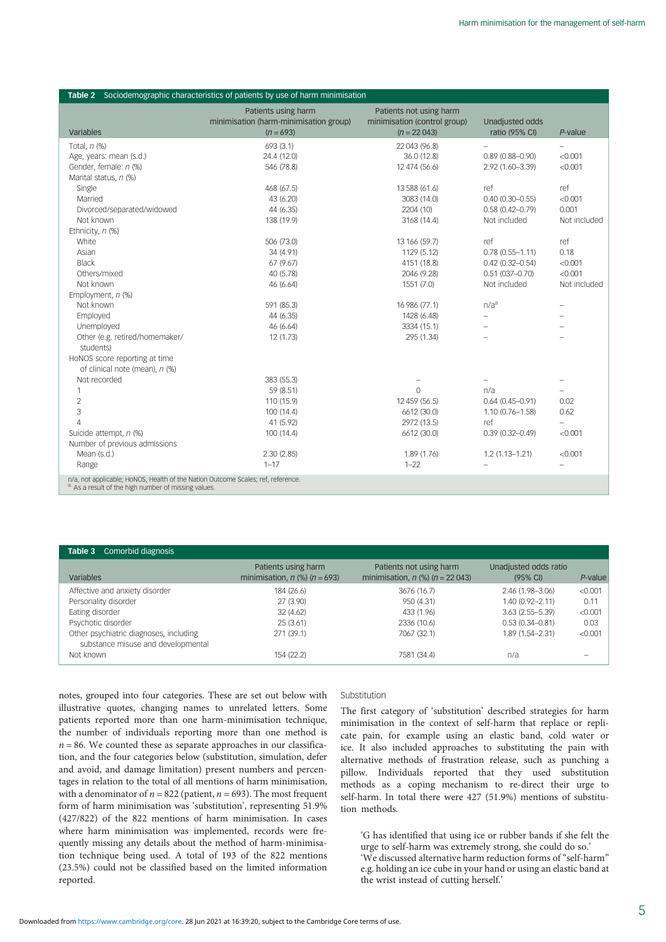<span id="page-4-0"></span>

|                                                                                                                                          | <b>Table 2</b> Sociodemographic characteristics of patients by use of harm minimisation<br>Patients using harm | Patients not using harm      |                          |                   |
|------------------------------------------------------------------------------------------------------------------------------------------|----------------------------------------------------------------------------------------------------------------|------------------------------|--------------------------|-------------------|
|                                                                                                                                          | minimisation (harm-minimisation group)                                                                         | minimisation (control group) | Unadjusted odds          |                   |
| Variables                                                                                                                                | $(n = 693)$                                                                                                    | $(n = 22043)$                | ratio (95% CI)           | $P$ -value        |
| Total, $n$ $%$                                                                                                                           | 693 (3.1)                                                                                                      | 22 043 (96.8)                |                          | $\qquad \qquad -$ |
| Age, years: mean (s.d.)                                                                                                                  | 24.4 (12.0)                                                                                                    | 36.0 (12.8)                  | $0.89(0.88 - 0.90)$      | < 0.001           |
| Gender, female: n (%)                                                                                                                    | 546 (78.8)                                                                                                     | 12 474 (56.6)                | 2.92 (1.60-3.39)         | < 0.001           |
| Marital status, n (%)                                                                                                                    |                                                                                                                |                              |                          |                   |
| Single                                                                                                                                   | 468 (67.5)                                                                                                     | 13 588 (61.6)                | ref                      | ref               |
| Married                                                                                                                                  | 43 (6.20)                                                                                                      | 3083 (14.0)                  | $0.40(0.30 - 0.55)$      | < 0.001           |
| Divorced/separated/widowed                                                                                                               | 44 (6.35)                                                                                                      | 2204 (10)                    | $0.58(0.42 - 0.79)$      | 0.001             |
| Not known                                                                                                                                | 138 (19.9)                                                                                                     | 3168 (14.4)                  | Not included             | Not included      |
| Ethnicity, n (%)                                                                                                                         |                                                                                                                |                              |                          |                   |
| White                                                                                                                                    | 506 (73.0)                                                                                                     | 13 166 (59.7)                | ref                      | ref               |
| Asian                                                                                                                                    | 34 (4.91)                                                                                                      | 1129 (5.12)                  | $0.78(0.55 - 1.11)$      | 0.18              |
| <b>Black</b>                                                                                                                             | 67 (9.67)                                                                                                      | 4151 (18.8)                  | $0.42(0.32 - 0.54)$      | < 0.001           |
| Others/mixed                                                                                                                             | 40 (5.78)                                                                                                      | 2046 (9.28)                  | $0.51(037 - 0.70)$       | < 0.001           |
| Not known                                                                                                                                | 46 (6.64)                                                                                                      | 1551 (7.0)                   | Not included             | Not included      |
| Employment, n (%)                                                                                                                        |                                                                                                                |                              |                          |                   |
| Not known                                                                                                                                | 591 (85.3)                                                                                                     | 16 986 (77.1)                | n/a <sup>a</sup>         | $\equiv$          |
| Employed                                                                                                                                 | 44 (6.35)                                                                                                      | 1428 (6.48)                  |                          |                   |
| Unemployed                                                                                                                               | 46 (6.64)                                                                                                      | 3334 (15.1)                  | $\overline{\phantom{0}}$ |                   |
| Other (e.g. retired/homemaker/<br>students)                                                                                              | 12 (1.73)                                                                                                      | 295 (1.34)                   |                          |                   |
| HoNOS score reporting at time                                                                                                            |                                                                                                                |                              |                          |                   |
| of clinical note (mean), n (%)                                                                                                           |                                                                                                                |                              |                          |                   |
| Not recorded                                                                                                                             | 383 (55.3)                                                                                                     |                              |                          | -                 |
| 1                                                                                                                                        | 59 (8.51)                                                                                                      | $\Omega$                     | n/a                      |                   |
| $\overline{c}$                                                                                                                           | 110 (15.9)                                                                                                     | 12 459 (56.5)                | $0.64(0.45 - 0.91)$      | 0.02              |
| 3                                                                                                                                        | 100 (14.4)                                                                                                     | 6612 (30.0)                  | $1.10(0.76 - 1.58)$      | 0.62              |
| $\overline{4}$                                                                                                                           | 41 (5.92)                                                                                                      | 2972 (13.5)                  | ref                      | ÷                 |
| Suicide attempt, n (%)                                                                                                                   | 100 (14.4)                                                                                                     | 6612 (30.0)                  | $0.39(0.32 - 0.49)$      | < 0.001           |
| Number of previous admissions                                                                                                            |                                                                                                                |                              |                          |                   |
| Mean (s.d.)                                                                                                                              | 2.30(2.85)                                                                                                     | 1.89 (1.76)                  | $1.2(1.13 - 1.21)$       | < 0.001           |
| Range                                                                                                                                    | $1 - 17$                                                                                                       | $1 - 22$                     |                          |                   |
| n/a, not applicable; HoNOS, Health of the Nation Outcome Scales; ref, reference.<br>a. As a result of the high number of missing values. |                                                                                                                |                              |                          |                   |

| Table 3<br>Comorbid diagnosis                                                |                                                            |                                                                  |                                             |            |
|------------------------------------------------------------------------------|------------------------------------------------------------|------------------------------------------------------------------|---------------------------------------------|------------|
| Variables                                                                    | Patients using harm<br>minimisation, $n$ (%) ( $n = 693$ ) | Patients not using harm<br>minimisation, $n$ (%) ( $n = 22043$ ) | Unadjusted odds ratio<br>$(95% \text{ Cl})$ | $P$ -value |
| Affective and anxiety disorder                                               | 184 (26.6)                                                 | 3676 (16.7)                                                      | $2.46(1.98 - 3.06)$                         | < 0.001    |
| Personality disorder                                                         | 27 (3.90)                                                  | 950 (4.31)                                                       | 1.40 (0.92-2.11)                            | 0.11       |
| Eating disorder                                                              | 32(4.62)                                                   | 433 (1.96)                                                       | $3.63(2.55 - 5.39)$                         | < 0.001    |
| Psychotic disorder                                                           | 25(3.61)                                                   | 2336 (10.6)                                                      | $0.53(0.34 - 0.81)$                         | 0.03       |
| Other psychiatric diagnoses, including<br>substance misuse and developmental | 271 (39.1)                                                 | 7067 (32.1)                                                      | 1.89 (1.54-2.31)                            | < 0.001    |
| Not known                                                                    | 154 (22.2)                                                 | 7581 (34.4)                                                      | n/a                                         |            |

notes, grouped into four categories. These are set out below with illustrative quotes, changing names to unrelated letters. Some patients reported more than one harm-minimisation technique, the number of individuals reporting more than one method is  $n = 86$ . We counted these as separate approaches in our classification, and the four categories below (substitution, simulation, defer and avoid, and damage limitation) present numbers and percentages in relation to the total of all mentions of harm minimisation, with a denominator of  $n = 822$  (patient,  $n = 693$ ). The most frequent form of harm minimisation was 'substitution', representing 51.9% (427/822) of the 822 mentions of harm minimisation. In cases where harm minimisation was implemented, records were frequently missing any details about the method of harm-minimisation technique being used. A total of 193 of the 822 mentions (23.5%) could not be classified based on the limited information reported.

## Substitution

The first category of 'substitution' described strategies for harm minimisation in the context of self-harm that replace or replicate pain, for example using an elastic band, cold water or ice. It also included approaches to substituting the pain with alternative methods of frustration release, such as punching a pillow. Individuals reported that they used substitution methods as a coping mechanism to re-direct their urge to self-harm. In total there were 427 (51.9%) mentions of substitution methods.

'G has identified that using ice or rubber bands if she felt the urge to self-harm was extremely strong, she could do so.' 'We discussed alternative harm reduction forms of "self-harm" e.g. holding an ice cube in your hand or using an elastic band at the wrist instead of cutting herself.'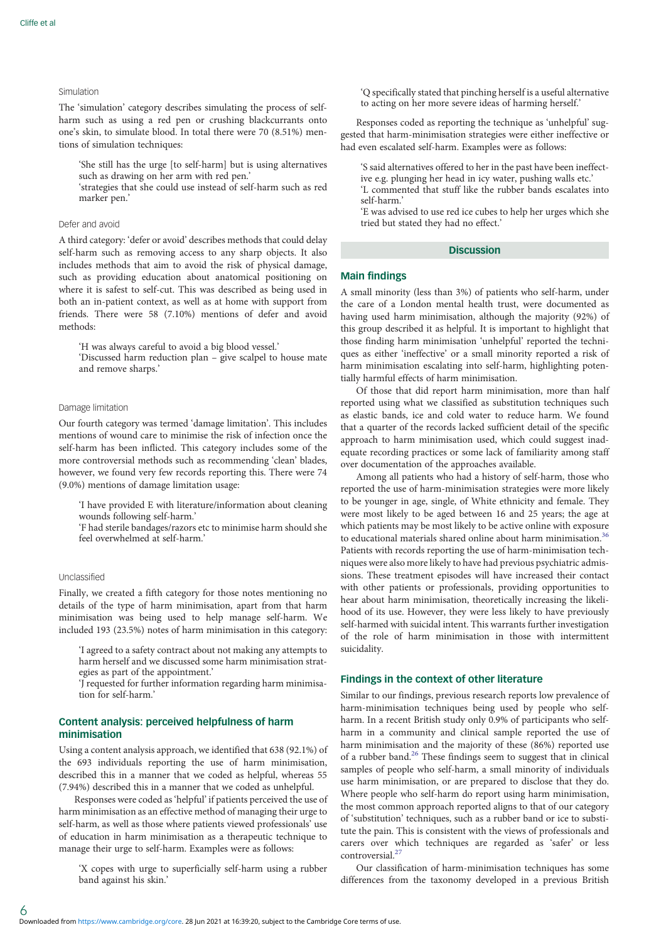# Simulation

The 'simulation' category describes simulating the process of selfharm such as using a red pen or crushing blackcurrants onto one's skin, to simulate blood. In total there were 70 (8.51%) mentions of simulation techniques:

'She still has the urge [to self-harm] but is using alternatives such as drawing on her arm with red pen.'

'strategies that she could use instead of self-harm such as red marker pen.'

# Defer and avoid

A third category: 'defer or avoid' describes methods that could delay self-harm such as removing access to any sharp objects. It also includes methods that aim to avoid the risk of physical damage, such as providing education about anatomical positioning on where it is safest to self-cut. This was described as being used in both an in-patient context, as well as at home with support from friends. There were 58 (7.10%) mentions of defer and avoid methods:

'H was always careful to avoid a big blood vessel.'

'Discussed harm reduction plan – give scalpel to house mate and remove sharps.'

#### Damage limitation

Our fourth category was termed 'damage limitation'. This includes mentions of wound care to minimise the risk of infection once the self-harm has been inflicted. This category includes some of the more controversial methods such as recommending 'clean' blades, however, we found very few records reporting this. There were 74 (9.0%) mentions of damage limitation usage:

'I have provided E with literature/information about cleaning wounds following self-harm.'

'F had sterile bandages/razors etc to minimise harm should she feel overwhelmed at self-harm.'

#### Unclassified

Finally, we created a fifth category for those notes mentioning no details of the type of harm minimisation, apart from that harm minimisation was being used to help manage self-harm. We included 193 (23.5%) notes of harm minimisation in this category:

'I agreed to a safety contract about not making any attempts to harm herself and we discussed some harm minimisation strategies as part of the appointment.'

'J requested for further information regarding harm minimisation for self-harm.'

# Content analysis: perceived helpfulness of harm minimisation

Using a content analysis approach, we identified that 638 (92.1%) of the 693 individuals reporting the use of harm minimisation, described this in a manner that we coded as helpful, whereas 55 (7.94%) described this in a manner that we coded as unhelpful.

Responses were coded as 'helpful' if patients perceived the use of harm minimisation as an effective method of managing their urge to self-harm, as well as those where patients viewed professionals' use of education in harm minimisation as a therapeutic technique to manage their urge to self-harm. Examples were as follows:

'X copes with urge to superficially self-harm using a rubber band against his skin.'

'Q specifically stated that pinching herself is a useful alternative to acting on her more severe ideas of harming herself.'

Responses coded as reporting the technique as 'unhelpful' suggested that harm-minimisation strategies were either ineffective or had even escalated self-harm. Examples were as follows:

'S said alternatives offered to her in the past have been ineffective e.g. plunging her head in icy water, pushing walls etc.'

'L commented that stuff like the rubber bands escalates into self-harm.'

'E was advised to use red ice cubes to help her urges which she tried but stated they had no effect.'

## **Discussion**

## Main findings

A small minority (less than 3%) of patients who self-harm, under the care of a London mental health trust, were documented as having used harm minimisation, although the majority (92%) of this group described it as helpful. It is important to highlight that those finding harm minimisation 'unhelpful' reported the techniques as either 'ineffective' or a small minority reported a risk of harm minimisation escalating into self-harm, highlighting potentially harmful effects of harm minimisation.

Of those that did report harm minimisation, more than half reported using what we classified as substitution techniques such as elastic bands, ice and cold water to reduce harm. We found that a quarter of the records lacked sufficient detail of the specific approach to harm minimisation used, which could suggest inadequate recording practices or some lack of familiarity among staff over documentation of the approaches available.

Among all patients who had a history of self-harm, those who reported the use of harm-minimisation strategies were more likely to be younger in age, single, of White ethnicity and female. They were most likely to be aged between 16 and 25 years; the age at which patients may be most likely to be active online with exposure to educational materials shared online about harm minimisation.<sup>[36](#page-8-0)</sup> Patients with records reporting the use of harm-minimisation techniques were also more likely to have had previous psychiatric admissions. These treatment episodes will have increased their contact with other patients or professionals, providing opportunities to hear about harm minimisation, theoretically increasing the likelihood of its use. However, they were less likely to have previously self-harmed with suicidal intent. This warrants further investigation of the role of harm minimisation in those with intermittent suicidality.

# Findings in the context of other literature

Similar to our findings, previous research reports low prevalence of harm-minimisation techniques being used by people who selfharm. In a recent British study only 0.9% of participants who selfharm in a community and clinical sample reported the use of harm minimisation and the majority of these (86%) reported use of a rubber band.<sup>[26](#page-7-0)</sup> These findings seem to suggest that in clinical samples of people who self-harm, a small minority of individuals use harm minimisation, or are prepared to disclose that they do. Where people who self-harm do report using harm minimisation, the most common approach reported aligns to that of our category of 'substitution' techniques, such as a rubber band or ice to substitute the pain. This is consistent with the views of professionals and carers over which techniques are regarded as 'safer' or less  $controversial<sup>2</sup>$ 

Our classification of harm-minimisation techniques has some differences from the taxonomy developed in a previous British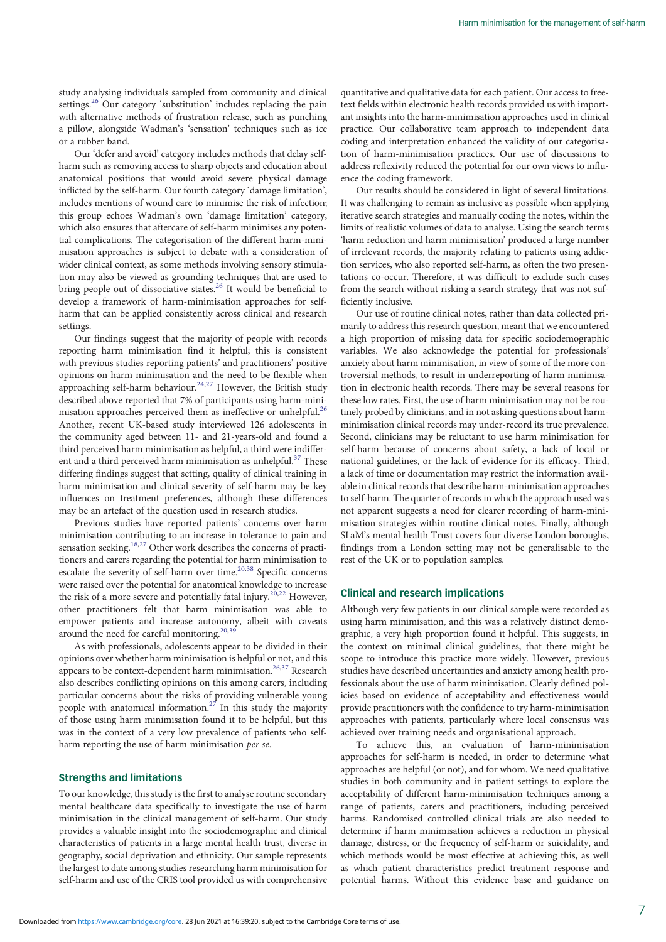study analysing individuals sampled from community and clinical settings.<sup>[26](#page-7-0)</sup> Our category 'substitution' includes replacing the pain with alternative methods of frustration release, such as punching a pillow, alongside Wadman's 'sensation' techniques such as ice or a rubber band.

Our 'defer and avoid' category includes methods that delay selfharm such as removing access to sharp objects and education about anatomical positions that would avoid severe physical damage inflicted by the self-harm. Our fourth category 'damage limitation', includes mentions of wound care to minimise the risk of infection; this group echoes Wadman's own 'damage limitation' category, which also ensures that aftercare of self-harm minimises any potential complications. The categorisation of the different harm-minimisation approaches is subject to debate with a consideration of wider clinical context, as some methods involving sensory stimulation may also be viewed as grounding techniques that are used to bring people out of dissociative states.<sup>[26](#page-7-0)</sup> It would be beneficial to develop a framework of harm-minimisation approaches for selfharm that can be applied consistently across clinical and research settings.

Our findings suggest that the majority of people with records reporting harm minimisation find it helpful; this is consistent with previous studies reporting patients' and practitioners' positive opinions on harm minimisation and the need to be flexible when approaching self-harm behaviour.<sup>[24,27](#page-7-0)</sup> However, the British study described above reported that 7% of participants using harm-minimisation approaches perceived them as ineffective or unhelpful.<sup>26</sup> Another, recent UK-based study interviewed 126 adolescents in the community aged between 11- and 21-years-old and found a third perceived harm minimisation as helpful, a third were indifferent and a third perceived harm minimisation as unhelpful. $37$  These differing findings suggest that setting, quality of clinical training in harm minimisation and clinical severity of self-harm may be key influences on treatment preferences, although these differences may be an artefact of the question used in research studies.

Previous studies have reported patients' concerns over harm minimisation contributing to an increase in tolerance to pain and sensation seeking.<sup>[18](#page-7-0),[27](#page-7-0)</sup> Other work describes the concerns of practitioners and carers regarding the potential for harm minimisation to escalate the severity of self-harm over time.<sup>20[,38](#page-8-0)</sup> Specific concerns were raised over the potential for anatomical knowledge to increase the risk of a more severe and potentially fatal injury.<sup>[20,22](#page-7-0)</sup> However, other practitioners felt that harm minimisation was able to empower patients and increase autonomy, albeit with caveats around the need for careful monitoring.<sup>[20](#page-7-0),[39](#page-8-0)</sup>

As with professionals, adolescents appear to be divided in their opinions over whether harm minimisation is helpful or not, and this appears to be context-dependent harm minimisation.<sup>[26](#page-7-0),[37](#page-8-0)</sup> Research also describes conflicting opinions on this among carers, including particular concerns about the risks of providing vulnerable young people with anatomical information.<sup>[27](#page-7-0)</sup> In this study the majority of those using harm minimisation found it to be helpful, but this was in the context of a very low prevalence of patients who selfharm reporting the use of harm minimisation per se.

# Strengths and limitations

To our knowledge, this study is the first to analyse routine secondary mental healthcare data specifically to investigate the use of harm minimisation in the clinical management of self-harm. Our study provides a valuable insight into the sociodemographic and clinical characteristics of patients in a large mental health trust, diverse in geography, social deprivation and ethnicity. Our sample represents the largest to date among studies researching harm minimisation for self-harm and use of the CRIS tool provided us with comprehensive

quantitative and qualitative data for each patient. Our access to freetext fields within electronic health records provided us with important insights into the harm-minimisation approaches used in clinical practice. Our collaborative team approach to independent data coding and interpretation enhanced the validity of our categorisation of harm-minimisation practices. Our use of discussions to address reflexivity reduced the potential for our own views to influence the coding framework.

Our results should be considered in light of several limitations. It was challenging to remain as inclusive as possible when applying iterative search strategies and manually coding the notes, within the limits of realistic volumes of data to analyse. Using the search terms 'harm reduction and harm minimisation' produced a large number of irrelevant records, the majority relating to patients using addiction services, who also reported self-harm, as often the two presentations co-occur. Therefore, it was difficult to exclude such cases from the search without risking a search strategy that was not sufficiently inclusive.

Our use of routine clinical notes, rather than data collected primarily to address this research question, meant that we encountered a high proportion of missing data for specific sociodemographic variables. We also acknowledge the potential for professionals' anxiety about harm minimisation, in view of some of the more controversial methods, to result in underreporting of harm minimisation in electronic health records. There may be several reasons for these low rates. First, the use of harm minimisation may not be routinely probed by clinicians, and in not asking questions about harmminimisation clinical records may under-record its true prevalence. Second, clinicians may be reluctant to use harm minimisation for self-harm because of concerns about safety, a lack of local or national guidelines, or the lack of evidence for its efficacy. Third, a lack of time or documentation may restrict the information available in clinical records that describe harm-minimisation approaches to self-harm. The quarter of records in which the approach used was not apparent suggests a need for clearer recording of harm-minimisation strategies within routine clinical notes. Finally, although SLaM's mental health Trust covers four diverse London boroughs, findings from a London setting may not be generalisable to the rest of the UK or to population samples.

# Clinical and research implications

Although very few patients in our clinical sample were recorded as using harm minimisation, and this was a relatively distinct demographic, a very high proportion found it helpful. This suggests, in the context on minimal clinical guidelines, that there might be scope to introduce this practice more widely. However, previous studies have described uncertainties and anxiety among health professionals about the use of harm minimisation. Clearly defined policies based on evidence of acceptability and effectiveness would provide practitioners with the confidence to try harm-minimisation approaches with patients, particularly where local consensus was achieved over training needs and organisational approach.

To achieve this, an evaluation of harm-minimisation approaches for self-harm is needed, in order to determine what approaches are helpful (or not), and for whom. We need qualitative studies in both community and in-patient settings to explore the acceptability of different harm-minimisation techniques among a range of patients, carers and practitioners, including perceived harms. Randomised controlled clinical trials are also needed to determine if harm minimisation achieves a reduction in physical damage, distress, or the frequency of self-harm or suicidality, and which methods would be most effective at achieving this, as well as which patient characteristics predict treatment response and potential harms. Without this evidence base and guidance on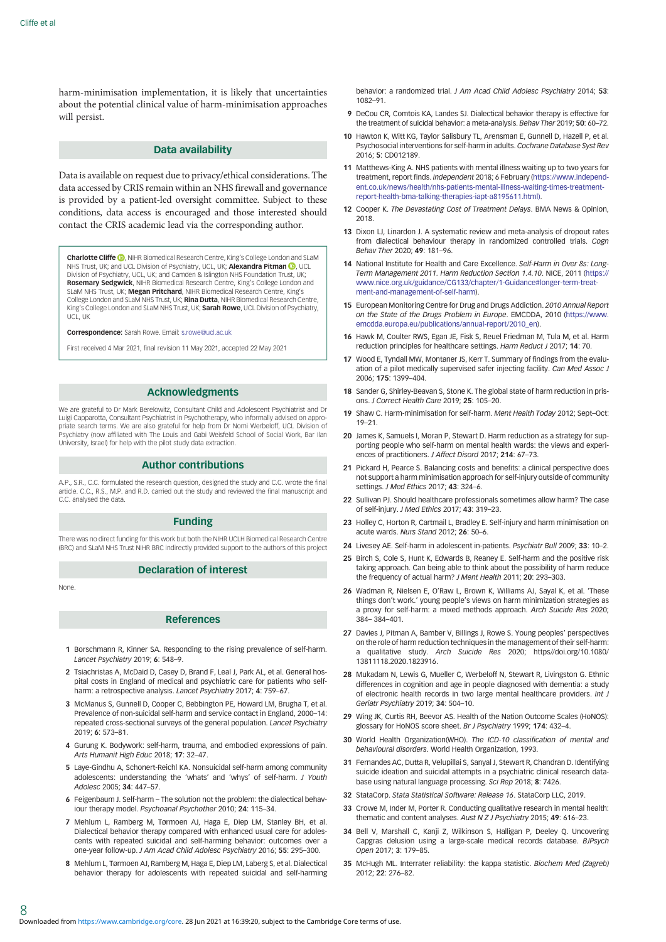<span id="page-7-0"></span>harm-minimisation implementation, it is likely that uncertainties about the potential clinical value of harm-minimisation approaches will persist.

## Data availability

Data is available on request due to privacy/ethical considerations. The data accessed by CRIS remain within an NHS firewall and governance is provided by a patient-led oversight committee. Subject to these conditions, data access is encouraged and those interested should contact the CRIS academic lead via the corresponding author.

Charlotte Cliffe <sup>(b</sup>)[,](https://orcid.org/0000-0003-3906-0003) NIHR Biomedical Research Centre, King's College London and SLaM NHS Trust, UK; and UCL Division of Psychiatry, UCL, UK; Alexandra Pitman D, UCL Division of Psychiatry, UCL, UK; and Camden & Islington NHS Foundation Trust, UK; Rosemary Sedgwick, NIHR Biomedical Research Centre, King's College London and SLaM NHS Trust, UK; Megan Pritchard, NIHR Biomedical Research Centre, King's College London and SLaM NHS Trust, UK; Rina Dutta, NIHR Biomedical Research Centre, King's College London and SLaM NHS Trust, UK; Sarah Rowe, UCL Division of Psychiatry, UCL, UK

Correspondence: Sarah Rowe. Email: [s.rowe@ucl.ac.uk](mailto:s.rowe@ucl.ac.uk)

First received 4 Mar 2021, final revision 11 May 2021, accepted 22 May 2021

#### Acknowledgments

We are grateful to Dr Mark Berelowitz, Consultant Child and Adolescent Psychiatrist and Dr Luigi Capparotta, Consultant Psychiatrist in Psychotherapy, who informally advised on appropriate search terms. We are also grateful for help from Dr Nomi Werbeloff, UCL Division of Psychiatry (now affiliated with The Louis and Gabi Weisfeld School of Social Work, Bar Ilan University, Israel) for help with the pilot study data extraction.

#### Author contributions

A.P., S.R., C.C. formulated the research question, designed the study and C.C. wrote the final article. C.C., R.S., M.P. and R.D. carried out the study and reviewed the final manuscript and C.C. analysed the data.

## Funding

There was no direct funding for this work but both the NIHR UCLH Biomedical Research Centre (BRC) and SLaM NHS Trust NIHR BRC indirectly provided support to the authors of this project

# Declaration of interest

None.

## References

- 1 Borschmann R, Kinner SA. Responding to the rising prevalence of self-harm. Lancet Psychiatry 2019; 6: 548-9.
- 2 Tsiachristas A, McDaid D, Casey D, Brand F, Leal J, Park AL, et al. General hospital costs in England of medical and psychiatric care for patients who selfharm: a retrospective analysis. Lancet Psychiatry 2017; 4: 759-67.
- 3 McManus S, Gunnell D, Cooper C, Bebbington PE, Howard LM, Brugha T, et al. Prevalence of non-suicidal self-harm and service contact in England, 2000–14: repeated cross-sectional surveys of the general population. Lancet Psychiatry 2019; 6: 573–81.
- 4 Gurung K. Bodywork: self-harm, trauma, and embodied expressions of pain. Arts Humanit High Educ 2018; 17: 32–47.
- 5 Laye-Gindhu A, Schonert-Reichl KA. Nonsuicidal self-harm among community adolescents: understanding the 'whats' and 'whys' of self-harm. J Youth Adolesc 2005; 34: 447–57.
- 6 Feigenbaum J. Self-harm The solution not the problem: the dialectical behaviour therapy model. Psychoanal Psychother 2010; 24: 115–34.
- 7 Mehlum L, Ramberg M, Tørmoen AJ, Haga E, Diep LM, Stanley BH, et al. Dialectical behavior therapy compared with enhanced usual care for adolescents with repeated suicidal and self-harming behavior: outcomes over a one-year follow-up. J Am Acad Child Adolesc Psychiatry 2016; 55: 295–300.
- 8 Mehlum L, Tørmoen AJ, Ramberg M, Haga E, Diep LM, Laberg S, et al. Dialectical behavior therapy for adolescents with repeated suicidal and self-harming

behavior: a randomized trial. J Am Acad Child Adolesc Psychiatry 2014; 53: 1082–91.

- 9 DeCou CR, Comtois KA, Landes SJ. Dialectical behavior therapy is effective for the treatment of suicidal behavior: a meta-analysis. Behav Ther 2019; 50: 60–72.
- 10 Hawton K, Witt KG, Taylor Salisbury TL, Arensman E, Gunnell D, Hazell P, et al. Psychosocial interventions for self-harm in adults. Cochrane Database Syst Rev 2016; 5: CD012189.
- 11 Matthews-King A. NHS patients with mental illness waiting up to two years for treatment, report finds. Independent 2018; 6 February ([https://www.independ](https://www.independent.co.uk/news/health/nhs-patients-mental-illness-waiting-times-treatment-report-health-bma-talking-therapies-iapt-a8195611.html))[ent.co.uk/news/health/nhs-patients-mental-illness-waiting-times-treatment](https://www.independent.co.uk/news/health/nhs-patients-mental-illness-waiting-times-treatment-report-health-bma-talking-therapies-iapt-a8195611.html))[report-health-bma-talking-therapies-iapt-a8195611.html\)](https://www.independent.co.uk/news/health/nhs-patients-mental-illness-waiting-times-treatment-report-health-bma-talking-therapies-iapt-a8195611.html)).
- 12 Cooper K. The Devastating Cost of Treatment Delays. BMA News & Opinion, 2018.
- 13 Dixon LJ, Linardon J. A systematic review and meta-analysis of dropout rates from dialectical behaviour therapy in randomized controlled trials. Cogn Behav Ther 2020; 49: 181–96.
- 14 National Institute for Health and Care Excellence. Self-Harm in Over 8s: Long-Term Management 2011. Harm Reduction Section 1.4.10. NICE, 2011 ([https://](https://www.nice.org.uk/guidance/CG133/chapter/1-Guidance%23longer-term-treatment-and-management-of-self-harm) [www.nice.org.uk/guidance/CG133/chapter/1-Guidance#longer-term-treat](https://www.nice.org.uk/guidance/CG133/chapter/1-Guidance%23longer-term-treatment-and-management-of-self-harm)[ment-and-management-of-self-harm](https://www.nice.org.uk/guidance/CG133/chapter/1-Guidance%23longer-term-treatment-and-management-of-self-harm)).
- 15 European Monitoring Centre for Drug and Drugs Addiction. 2010 Annual Report on the State of the Drugs Problem in Europe. EMCDDA, 2010 [\(https://www.](https://www.emcdda.europa.eu/publications/annual-report/2010_en) [emcdda.europa.eu/publications/annual-report/2010\\_en](https://www.emcdda.europa.eu/publications/annual-report/2010_en)).
- 16 Hawk M, Coulter RWS, Egan JE, Fisk S, Reuel Friedman M, Tula M, et al. Harm reduction principles for healthcare settings. Harm Reduct J 2017; 14: 70.
- 17 Wood E, Tyndall MW, Montaner JS, Kerr T. Summary of findings from the evaluation of a pilot medically supervised safer injecting facility. Can Med Assoc J 2006; 175: 1399–404.
- 18 Sander G, Shirley-Beavan S, Stone K. The global state of harm reduction in prisons. J Correct Health Care 2019; 25: 105–20.
- 19 Shaw C. Harm-minimisation for self-harm. Ment Health Today 2012; Sept–Oct: 19–21.
- 20 James K, Samuels I, Moran P, Stewart D. Harm reduction as a strategy for supporting people who self-harm on mental health wards: the views and experiences of practitioners. J Affect Disord 2017; 214: 67–73.
- 21 Pickard H, Pearce S. Balancing costs and benefits: a clinical perspective does not support a harm minimisation approach for self-injury outside of community settings. J Med Ethics 2017; 43: 324–6.
- 22 Sullivan PJ. Should healthcare professionals sometimes allow harm? The case of self-injury. J Med Ethics 2017; 43: 319–23.
- 23 Hollev C, Horton R, Cartmail L, Bradley E. Self-injury and harm minimisation on acute wards. Nurs Stand 2012; 26: 50–6.
- 24 Livesey AE. Self-harm in adolescent in-patients. Psychiatr Bull 2009; 33: 10–2.
- 25 Birch S, Cole S, Hunt K, Edwards B, Reaney E. Self-harm and the positive risk taking approach. Can being able to think about the possibility of harm reduce the frequency of actual harm? J Ment Health 2011; 20: 293-303.
- 26 Wadman R, Nielsen E, O'Raw L, Brown K, Williams AJ, Sayal K, et al. 'These things don't work.' young people's views on harm minimization strategies as a proxy for self-harm: a mixed methods approach. Arch Suicide Res 2020; 384– 384–401.
- 27 Davies J, Pitman A, Bamber V, Billings J, Rowe S. Young peoples' perspectives on the role of harm reduction techniques in the management of their self-harm: a qualitative study. Arch Suicide Res 2020; https//doi.org/10.1080/ 13811118.2020.1823916.
- 28 Mukadam N, Lewis G, Mueller C, Werbeloff N, Stewart R, Livingston G. Ethnic differences in cognition and age in people diagnosed with dementia: a study of electronic health records in two large mental healthcare providers. Int J Geriatr Psychiatry 2019; 34: 504–10.
- 29 Wing JK, Curtis RH, Beevor AS. Health of the Nation Outcome Scales (HoNOS): glossary for HoNOS score sheet. Br J Psychiatry 1999; 174: 432–4.
- 30 World Health Organization(WHO). The ICD-10 classification of mental and behavioural disorders. World Health Organization, 1993.
- 31 Fernandes AC, Dutta R, Velupillai S, Sanyal J, Stewart R, Chandran D. Identifying suicide ideation and suicidal attempts in a psychiatric clinical research database using natural language processing. Sci Rep 2018; 8: 7426.
- 32 StataCorp. Stata Statistical Software: Release 16. StataCorp LLC, 2019.
- 33 Crowe M, Inder M, Porter R. Conducting qualitative research in mental health: thematic and content analyses. Aust N Z J Psychiatry 2015; 49: 616–23.
- 34 Bell V, Marshall C, Kanji Z, Wilkinson S, Halligan P, Deeley Q. Uncovering Capgras delusion using a large-scale medical records database. BJPsych Open 2017; 3: 179–85.
- 35 McHugh ML. Interrater reliability: the kappa statistic. Biochem Med (Zagreb) 2012; 22: 276–82.